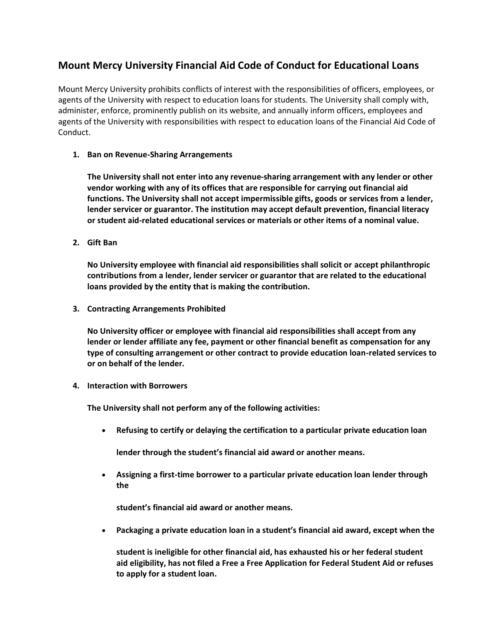## **Mount Mercy University Financial Aid Code of Conduct for Educational Loans**

Mount Mercy University prohibits conflicts of interest with the responsibilities of officers, employees, or agents of the University with respect to education loans for students. The University shall comply with, administer, enforce, prominently publish on its website, and annually inform officers, employees and agents of the University with responsibilities with respect to education loans of the Financial Aid Code of Conduct.

## **1. Ban on Revenue-Sharing Arrangements**

**The University shall not enter into any revenue-sharing arrangement with any lender or other vendor working with any of its offices that are responsible for carrying out financial aid functions. The University shall not accept impermissible gifts, goods or services from a lender, lender servicer or guarantor. The institution may accept default prevention, financial literacy or student aid-related educational services or materials or other items of a nominal value.** 

**2. Gift Ban** 

**No University employee with financial aid responsibilities shall solicit or accept philanthropic contributions from a lender, lender servicer or guarantor that are related to the educational loans provided by the entity that is making the contribution.** 

**3. Contracting Arrangements Prohibited** 

**No University officer or employee with financial aid responsibilities shall accept from any lender or lender affiliate any fee, payment or other financial benefit as compensation for any type of consulting arrangement or other contract to provide education loan-related services to or on behalf of the lender.** 

**4. Interaction with Borrowers** 

**The University shall not perform any of the following activities:** 

• **Refusing to certify or delaying the certification to a particular private education loan** 

**lender through the student's financial aid award or another means.** 

• **Assigning a first-time borrower to a particular private education loan lender through the** 

**student's financial aid award or another means.** 

• **Packaging a private education loan in a student's financial aid award, except when the** 

**student is ineligible for other financial aid, has exhausted his or her federal student aid eligibility, has not filed a Free a Free Application for Federal Student Aid or refuses to apply for a student loan.**